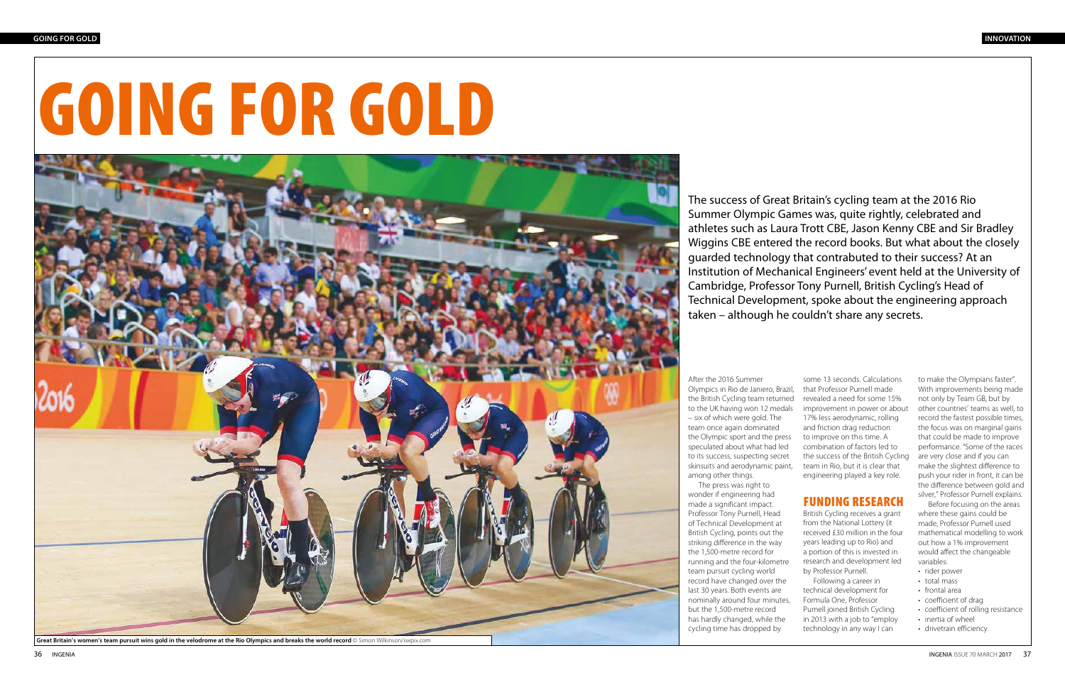After the 2016 Summer

Olympics in Rio de Janiero, Brazil, the British Cycling team returned to the UK having won 12 medals – six of which were gold. The team once again dominated the Olympic sport and the press speculated about what had led to its success, suspecting secret skinsuits and aerodynamic paint, among other things.

The press was right to wonder if engineering had made a significant impact. Professor Tony Purnell, Head of Technical Development at British Cycling, points out the striking difference in the way the 1,500-metre record for running and the four-kilometre team pursuit cycling world record have changed over the last 30 years. Both events are nominally around four minutes, but the 1,500-metre record has hardly changed, while the cycling time has dropped by



Great Britain's women's team pursuit wins gold in the velodrome at the Rio Olympics and breaks the world record © Simon Wilkinson/swpix.com

The success of Great Britain's cycling team at the 2016 Rio Summer Olympic Games was, quite rightly, celebrated and athletes such as Laura Trott CBE, Jason Kenny CBE and Sir Bradley Wiggins CBE entered the record books. But what about the closely guarded technology that contrabuted to their success? At an Institution of Mechanical Engineers' event held at the University of Cambridge, Professor Tony Purnell, British Cycling's Head of Technical Development, spoke about the engineering approach taken – although he couldn't share any secrets.

- rider power
- total mass
- frontal area
- coefficient of drag
- coefficient of rolling resistance
- inertia of wheel
- drivetrain efficiency.

some 13 seconds. Calculations that Professor Purnell made revealed a need for some 15% improvement in power or about 17% less aerodynamic, rolling and friction drag reduction to improve on this time. A combination of factors led to the success of the British Cycling team in Rio, but it is clear that engineering played a key role.

## FUNDING RESEARCH

British Cycling receives a grant from the National Lottery (it received £30 million in the four years leading up to Rio) and a portion of this is invested in research and development led by Professor Purnell.

Following a career in technical development for Formula One, Professor Purnell joined British Cycling in 2013 with a job to "employ technology in any way I can

to make the Olympians faster". With improvements being made not only by Team GB, but by other countries' teams as well, to record the fastest possible times, the focus was on marginal gains that could be made to improve performance. "Some of the races are very close and if you can make the slightest difference to push your rider in front, it can be the difference between gold and silver," Professor Purnell explains.

Before focusing on the areas where these gains could be made, Professor Purnell used mathematical modelling to work out how a 1% improvement would affect the changeable variables: